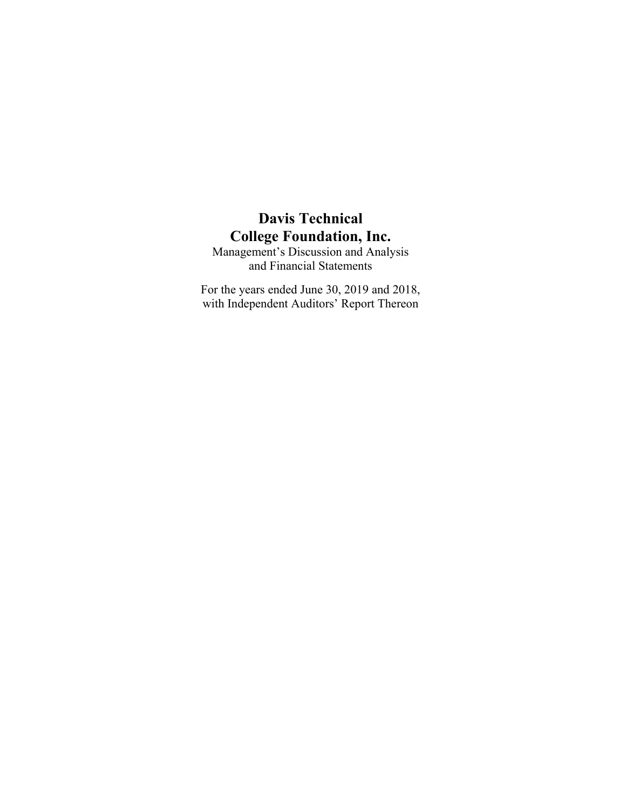Management's Discussion and Analysis and Financial Statements

For the years ended June 30, 2019 and 2018, with Independent Auditors' Report Thereon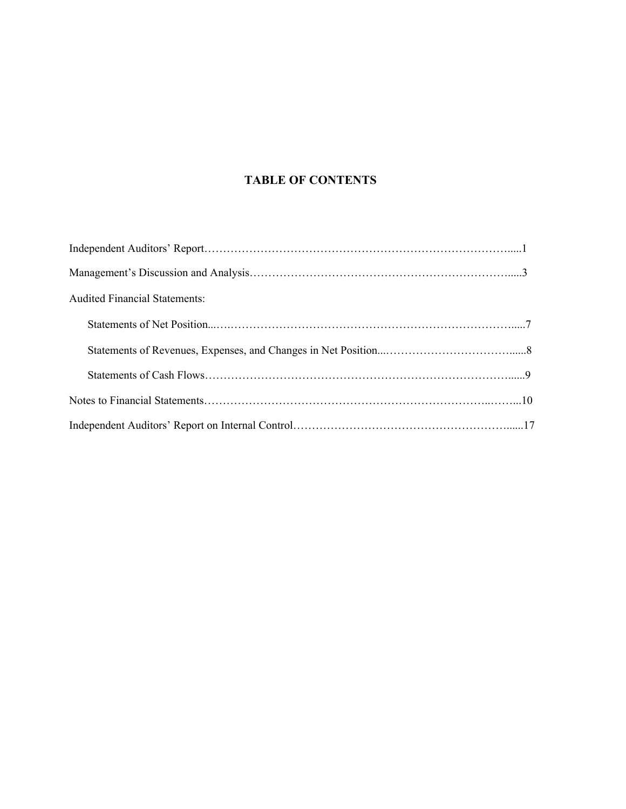# **TABLE OF CONTENTS**

| <b>Audited Financial Statements:</b> |
|--------------------------------------|
|                                      |
|                                      |
|                                      |
|                                      |
|                                      |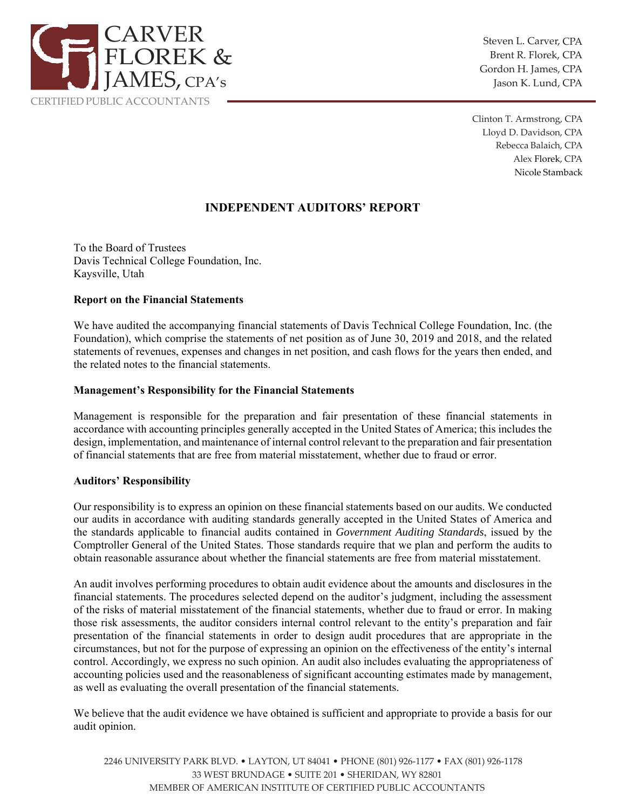

Steven L. Carver, CPA Brent R. Florek, CPA Gordon H. James, CPA

Clinton T. Armstrong, CPA Lloyd D. Davidson, CPA Rebecca Balaich, CPA Alex Florek, CPA Nicole Stamback

# **INDEPENDENT AUDITORS' REPORT**

To the Board of Trustees Davis Technical College Foundation, Inc. Kaysville, Utah

### **Report on the Financial Statements**

We have audited the accompanying financial statements of Davis Technical College Foundation, Inc. (the Foundation), which comprise the statements of net position as of June 30, 2019 and 2018, and the related statements of revenues, expenses and changes in net position, and cash flows for the years then ended, and the related notes to the financial statements.

#### **Management's Responsibility for the Financial Statements**

Management is responsible for the preparation and fair presentation of these financial statements in accordance with accounting principles generally accepted in the United States of America; this includes the design, implementation, and maintenance of internal control relevant to the preparation and fair presentation of financial statements that are free from material misstatement, whether due to fraud or error.

#### **Auditors' Responsibility**

Our responsibility is to express an opinion on these financial statements based on our audits. We conducted our audits in accordance with auditing standards generally accepted in the United States of America and the standards applicable to financial audits contained in *Government Auditing Standards*, issued by the Comptroller General of the United States. Those standards require that we plan and perform the audits to obtain reasonable assurance about whether the financial statements are free from material misstatement.

An audit involves performing procedures to obtain audit evidence about the amounts and disclosures in the financial statements. The procedures selected depend on the auditor's judgment, including the assessment of the risks of material misstatement of the financial statements, whether due to fraud or error. In making those risk assessments, the auditor considers internal control relevant to the entity's preparation and fair presentation of the financial statements in order to design audit procedures that are appropriate in the circumstances, but not for the purpose of expressing an opinion on the effectiveness of the entity's internal control. Accordingly, we express no such opinion. An audit also includes evaluating the appropriateness of accounting policies used and the reasonableness of significant accounting estimates made by management, as well as evaluating the overall presentation of the financial statements.

We believe that the audit evidence we have obtained is sufficient and appropriate to provide a basis for our audit opinion.

2246 UNIVERSITY PARK BLVD. • LAYTON, UT 84041 • PHONE (801) 926‐1177 • FAX (801) 926‐1178 33 WEST BRUNDAGE • SUITE 201 • SHERIDAN, WY 82801 MEMBER OF AMERICAN INSTITUTE OF CERTIFIED PUBLIC ACCOUNTANTS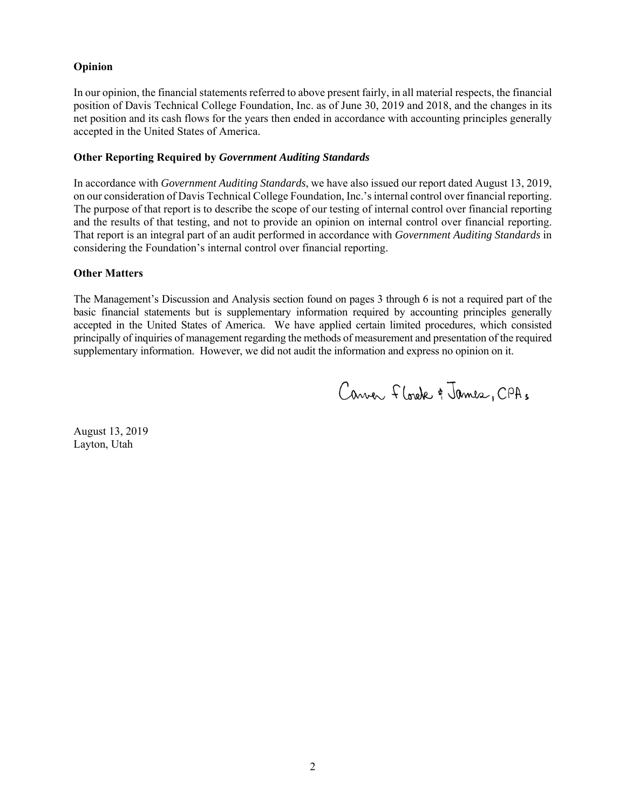### **Opinion**

In our opinion, the financial statements referred to above present fairly, in all material respects, the financial position of Davis Technical College Foundation, Inc. as of June 30, 2019 and 2018, and the changes in its net position and its cash flows for the years then ended in accordance with accounting principles generally accepted in the United States of America.

### **Other Reporting Required by** *Government Auditing Standards*

In accordance with *Government Auditing Standards*, we have also issued our report dated August 13, 2019, on our consideration of Davis Technical College Foundation, Inc.'s internal control over financial reporting. The purpose of that report is to describe the scope of our testing of internal control over financial reporting and the results of that testing, and not to provide an opinion on internal control over financial reporting. That report is an integral part of an audit performed in accordance with *Government Auditing Standards* in considering the Foundation's internal control over financial reporting.

### **Other Matters**

The Management's Discussion and Analysis section found on pages 3 through 6 is not a required part of the basic financial statements but is supplementary information required by accounting principles generally accepted in the United States of America. We have applied certain limited procedures, which consisted principally of inquiries of management regarding the methods of measurement and presentation of the required supplementary information. However, we did not audit the information and express no opinion on it.

 $\sigma$ . The same for  $\sigma$  is  $\sigma$ 

August 13, 2019 Layton, Utah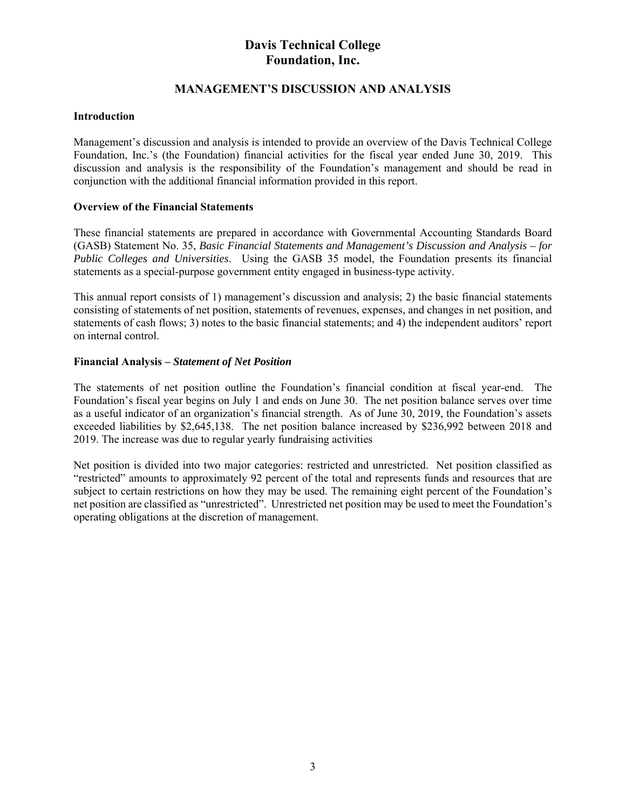### **MANAGEMENT'S DISCUSSION AND ANALYSIS**

#### **Introduction**

Management's discussion and analysis is intended to provide an overview of the Davis Technical College Foundation, Inc.'s (the Foundation) financial activities for the fiscal year ended June 30, 2019. This discussion and analysis is the responsibility of the Foundation's management and should be read in conjunction with the additional financial information provided in this report.

#### **Overview of the Financial Statements**

These financial statements are prepared in accordance with Governmental Accounting Standards Board (GASB) Statement No. 35, *Basic Financial Statements and Management's Discussion and Analysis – for Public Colleges and Universities*. Using the GASB 35 model, the Foundation presents its financial statements as a special-purpose government entity engaged in business-type activity.

This annual report consists of 1) management's discussion and analysis; 2) the basic financial statements consisting of statements of net position, statements of revenues, expenses, and changes in net position, and statements of cash flows; 3) notes to the basic financial statements; and 4) the independent auditors' report on internal control.

#### **Financial Analysis –** *Statement of Net Position*

The statements of net position outline the Foundation's financial condition at fiscal year-end. The Foundation's fiscal year begins on July 1 and ends on June 30. The net position balance serves over time as a useful indicator of an organization's financial strength. As of June 30, 2019, the Foundation's assets exceeded liabilities by \$2,645,138. The net position balance increased by \$236,992 between 2018 and 2019. The increase was due to regular yearly fundraising activities

Net position is divided into two major categories: restricted and unrestricted. Net position classified as "restricted" amounts to approximately 92 percent of the total and represents funds and resources that are subject to certain restrictions on how they may be used. The remaining eight percent of the Foundation's net position are classified as "unrestricted". Unrestricted net position may be used to meet the Foundation's operating obligations at the discretion of management.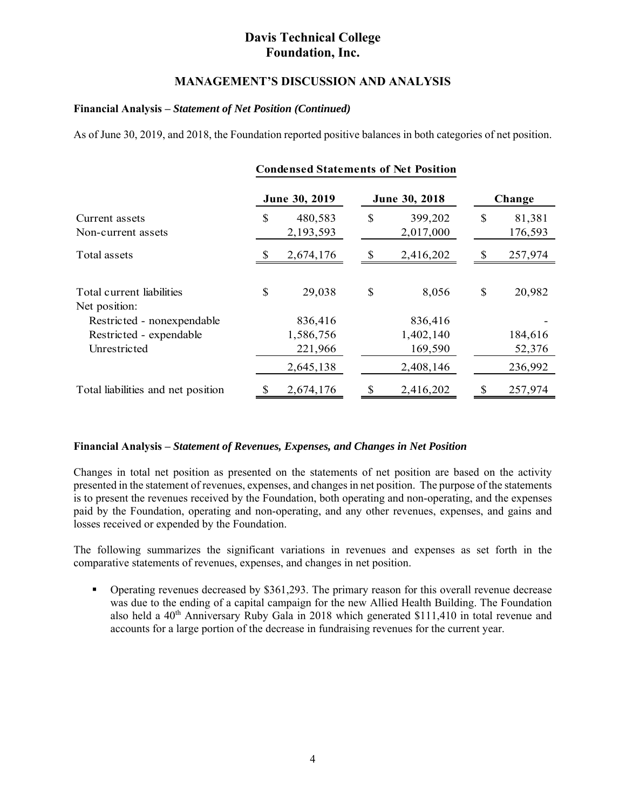### **MANAGEMENT'S DISCUSSION AND ANALYSIS**

#### **Financial Analysis –** *Statement of Net Position (Continued)*

As of June 30, 2019, and 2018, the Foundation reported positive balances in both categories of net position.

|                                                                       | <b>Condensed Statements of Net Position</b> |               |                                 |               |                   |
|-----------------------------------------------------------------------|---------------------------------------------|---------------|---------------------------------|---------------|-------------------|
|                                                                       | June 30, 2019                               |               | June 30, 2018                   |               | Change            |
| Current assets<br>Non-current assets                                  | \$<br>480,583<br>2,193,593                  | $\mathcal{S}$ | 399,202<br>2,017,000            | $\mathcal{S}$ | 81,381<br>176,593 |
| Total assets                                                          | 2,674,176                                   | <sup>\$</sup> | 2,416,202                       |               | 257,974           |
| Total current liabilities<br>Net position:                            | \$<br>29,038                                | $\mathbb{S}$  | 8,056                           | $\mathcal{S}$ | 20,982            |
| Restricted - nonexpendable<br>Restricted - expendable<br>Unrestricted | 836,416<br>1,586,756<br>221,966             |               | 836,416<br>1,402,140<br>169,590 |               | 184,616<br>52,376 |
|                                                                       | 2,645,138                                   |               | 2,408,146                       |               | 236,992           |
| Total liabilities and net position                                    | 2,674,176                                   |               | 2,416,202                       |               | 257,974           |

#### **Financial Analysis –** *Statement of Revenues, Expenses, and Changes in Net Position*

Changes in total net position as presented on the statements of net position are based on the activity presented in the statement of revenues, expenses, and changes in net position. The purpose of the statements is to present the revenues received by the Foundation, both operating and non-operating, and the expenses paid by the Foundation, operating and non-operating, and any other revenues, expenses, and gains and losses received or expended by the Foundation.

The following summarizes the significant variations in revenues and expenses as set forth in the comparative statements of revenues, expenses, and changes in net position.

• Operating revenues decreased by \$361,293. The primary reason for this overall revenue decrease was due to the ending of a capital campaign for the new Allied Health Building. The Foundation also held a 40<sup>th</sup> Anniversary Ruby Gala in 2018 which generated \$111,410 in total revenue and accounts for a large portion of the decrease in fundraising revenues for the current year.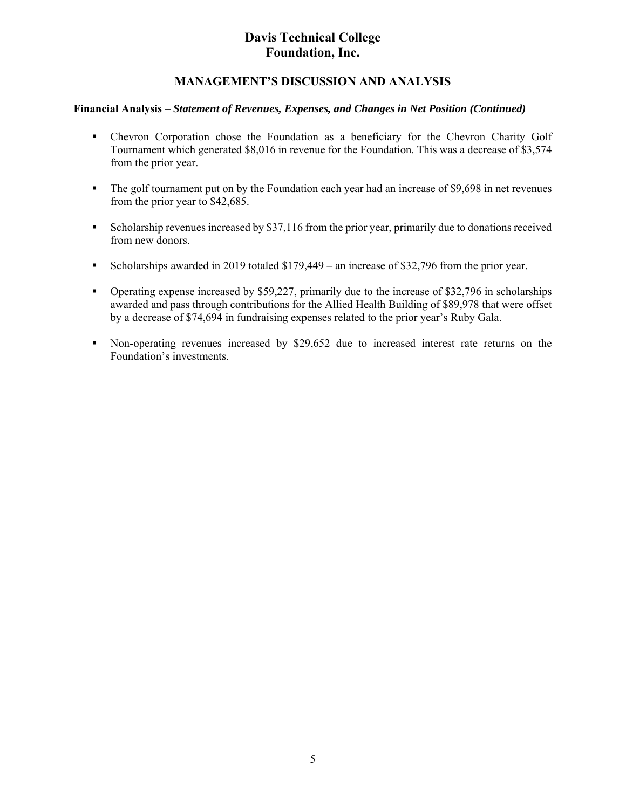### **MANAGEMENT'S DISCUSSION AND ANALYSIS**

#### **Financial Analysis –** *Statement of Revenues, Expenses, and Changes in Net Position (Continued)*

- Chevron Corporation chose the Foundation as a beneficiary for the Chevron Charity Golf Tournament which generated \$8,016 in revenue for the Foundation. This was a decrease of \$3,574 from the prior year.
- The golf tournament put on by the Foundation each year had an increase of \$9,698 in net revenues from the prior year to \$42,685.
- Scholarship revenues increased by \$37,116 from the prior year, primarily due to donations received from new donors.
- Scholarships awarded in 2019 totaled \$179,449 an increase of \$32,796 from the prior year.
- Operating expense increased by \$59,227, primarily due to the increase of \$32,796 in scholarships awarded and pass through contributions for the Allied Health Building of \$89,978 that were offset by a decrease of \$74,694 in fundraising expenses related to the prior year's Ruby Gala.
- Non-operating revenues increased by \$29,652 due to increased interest rate returns on the Foundation's investments.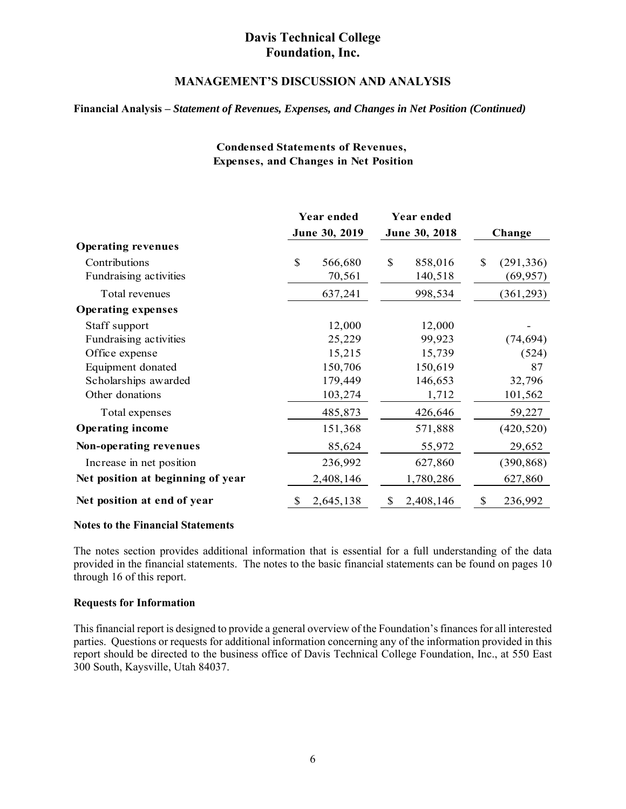### **MANAGEMENT'S DISCUSSION AND ANALYSIS**

#### **Financial Analysis –** *Statement of Revenues, Expenses, and Changes in Net Position (Continued)*

|                                   | Year ended      | Year ended      |                  |
|-----------------------------------|-----------------|-----------------|------------------|
|                                   | June 30, 2019   | June 30, 2018   | Change           |
| <b>Operating revenues</b>         |                 |                 |                  |
| Contributions                     | \$<br>566,680   | \$<br>858,016   | \$<br>(291, 336) |
| Fundraising activities            | 70,561          | 140,518         | (69, 957)        |
| Total revenues                    | 637,241         | 998,534         | (361, 293)       |
| <b>Operating expenses</b>         |                 |                 |                  |
| Staff support                     | 12,000          | 12,000          |                  |
| Fundraising activities            | 25,229          | 99,923          | (74, 694)        |
| Office expense                    | 15,215          | 15,739          | (524)            |
| Equipment donated                 | 150,706         | 150,619         | 87               |
| Scholarships awarded              | 179,449         | 146,653         | 32,796           |
| Other donations                   | 103,274         | 1,712           | 101,562          |
| Total expenses                    | 485,873         | 426,646         | 59,227           |
| <b>Operating income</b>           | 151,368         | 571,888         | (420, 520)       |
| Non-operating revenues            | 85,624          | 55,972          | 29,652           |
| Increase in net position          | 236,992         | 627,860         | (390, 868)       |
| Net position at beginning of year | 2,408,146       | 1,780,286       | 627,860          |
| Net position at end of year       | \$<br>2,645,138 | \$<br>2,408,146 | \$<br>236,992    |

### **Condensed Statements of Revenues, Expenses, and Changes in Net Position**

### **Notes to the Financial Statements**

The notes section provides additional information that is essential for a full understanding of the data provided in the financial statements. The notes to the basic financial statements can be found on pages 10 through 16 of this report.

#### **Requests for Information**

This financial report is designed to provide a general overview of the Foundation's finances for all interested parties. Questions or requests for additional information concerning any of the information provided in this report should be directed to the business office of Davis Technical College Foundation, Inc., at 550 East 300 South, Kaysville, Utah 84037.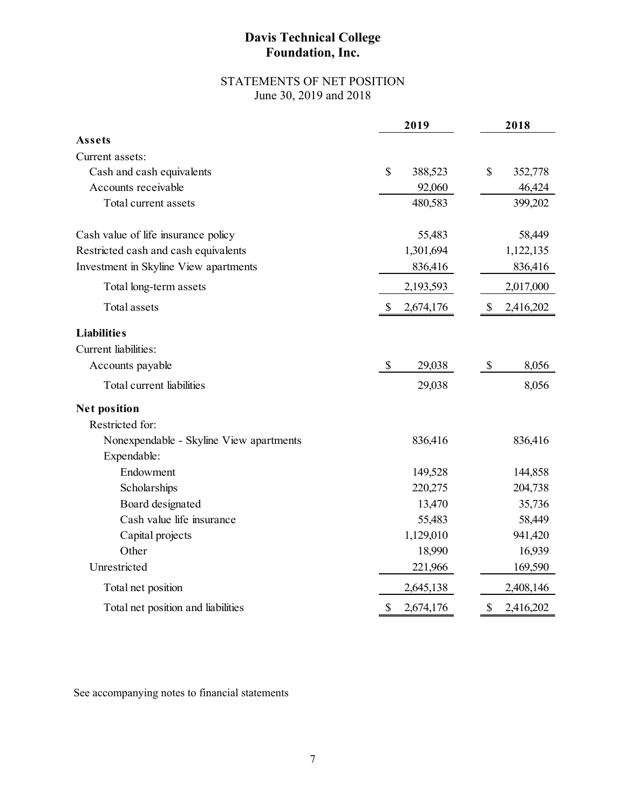# STATEMENTS OF NET POSITION June 30, 2019 and 2018

|                                         | 2019            | 2018            |
|-----------------------------------------|-----------------|-----------------|
| Assets                                  |                 |                 |
| Current assets:                         |                 |                 |
| Cash and cash equivalents               | \$<br>388,523   | \$<br>352,778   |
| Accounts receivable                     | 92,060          | 46,424          |
| Total current assets                    | 480,583         | 399,202         |
| Cash value of life insurance policy     | 55,483          | 58,449          |
| Restricted cash and cash equivalents    | 1,301,694       | 1,122,135       |
| Investment in Skyline View apartments   | 836,416         | 836,416         |
| Total long-term assets                  | 2,193,593       | 2,017,000       |
| <b>Total</b> assets                     | 2,674,176<br>S  | 2,416,202<br>S  |
| <b>Liabilities</b>                      |                 |                 |
| Current liabilities:                    |                 |                 |
| Accounts payable                        | \$<br>29,038    | \$<br>8,056     |
| Total current liabilities               | 29,038          | 8,056           |
| Net position                            |                 |                 |
| Restricted for:                         |                 |                 |
| Nonexpendable - Skyline View apartments | 836,416         | 836,416         |
| Expendable:                             |                 |                 |
| Endowment                               | 149,528         | 144,858         |
| Scholarships                            | 220,275         | 204,738         |
| Board designated                        | 13,470          | 35,736          |
| Cash value life insurance               | 55,483          | 58,449          |
| Capital projects                        | 1,129,010       | 941,420         |
| Other                                   | 18,990          | 16,939          |
| Unrestricted                            | 221,966         | 169,590         |
| Total net position                      | 2,645,138       | 2,408,146       |
| Total net position and liabilities      | \$<br>2,674,176 | \$<br>2,416,202 |

See accompanying notes to financial statements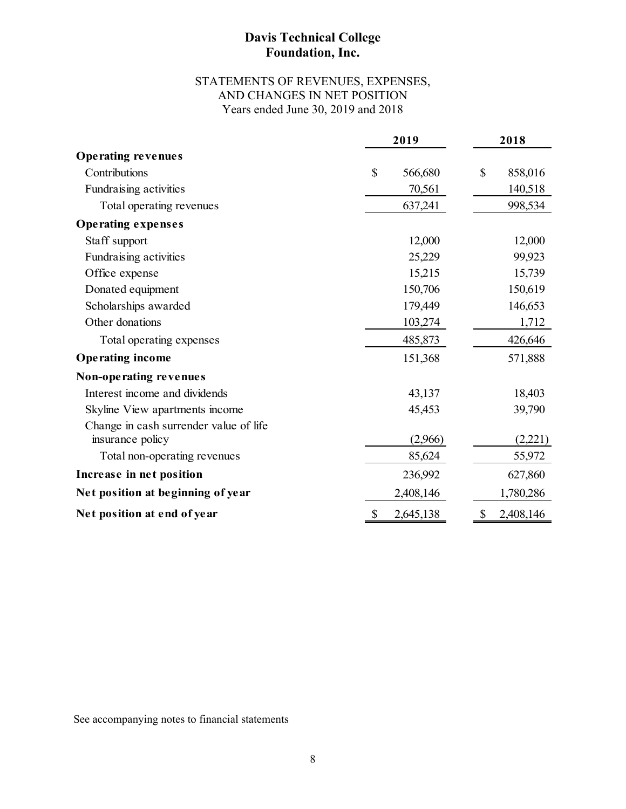### STATEMENTS OF REVENUES, EXPENSES, AND CHANGES IN NET POSITION Years ended June 30, 2019 and 2018

|                                        | 2019        |           |    | 2018      |  |
|----------------------------------------|-------------|-----------|----|-----------|--|
| <b>Operating revenues</b>              |             |           |    |           |  |
| Contributions                          | $\mathbf S$ | 566,680   | \$ | 858,016   |  |
| Fundraising activities                 |             | 70,561    |    | 140,518   |  |
| Total operating revenues               |             | 637,241   |    | 998,534   |  |
| <b>Operating expenses</b>              |             |           |    |           |  |
| Staff support                          |             | 12,000    |    | 12,000    |  |
| Fundraising activities                 |             | 25,229    |    | 99,923    |  |
| Office expense                         |             | 15,215    |    | 15,739    |  |
| Donated equipment                      |             | 150,706   |    | 150,619   |  |
| Scholarships awarded                   |             | 179,449   |    | 146,653   |  |
| Other donations                        |             | 103,274   |    | 1,712     |  |
| Total operating expenses               |             | 485,873   |    | 426,646   |  |
| <b>Operating income</b>                |             | 151,368   |    | 571,888   |  |
| Non-operating revenues                 |             |           |    |           |  |
| Interest income and dividends          |             | 43,137    |    | 18,403    |  |
| Skyline View apartments income         |             | 45,453    |    | 39,790    |  |
| Change in cash surrender value of life |             |           |    |           |  |
| insurance policy                       |             | (2,966)   |    | (2,221)   |  |
| Total non-operating revenues           |             | 85,624    |    | 55,972    |  |
| Increase in net position               |             | 236,992   |    | 627,860   |  |
| Net position at beginning of year      |             | 2,408,146 |    | 1,780,286 |  |
| Net position at end of year            | \$          | 2,645,138 | P. | 2,408,146 |  |

See accompanying notes to financial statements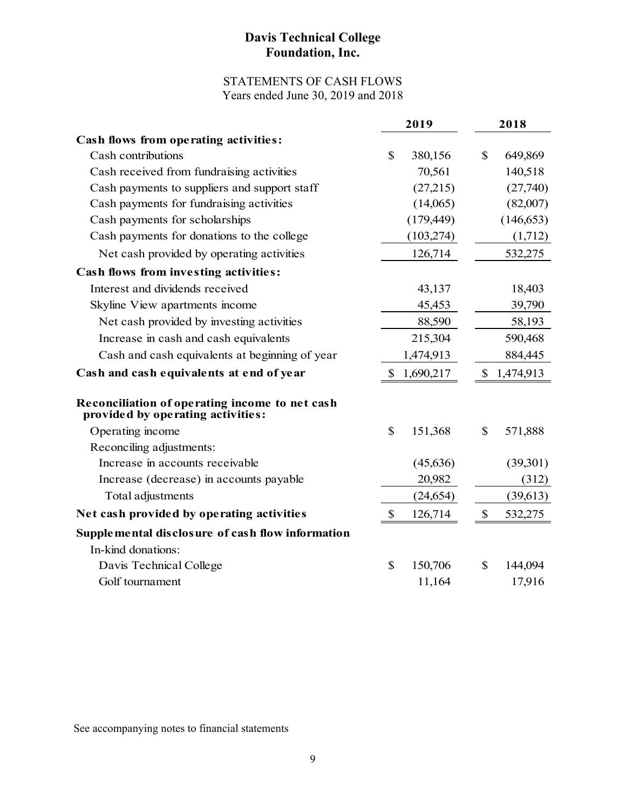# STATEMENTS OF CASH FLOWS Years ended June 30, 2019 and 2018

|                                                                                     | 2019                      | 2018                                 |
|-------------------------------------------------------------------------------------|---------------------------|--------------------------------------|
| Cash flows from operating activities:                                               |                           |                                      |
| Cash contributions                                                                  | \$<br>380,156             | $\mathbb{S}$<br>649,869              |
| Cash received from fundraising activities                                           | 70,561                    | 140,518                              |
| Cash payments to suppliers and support staff                                        | (27,215)                  | (27,740)                             |
| Cash payments for fundraising activities                                            | (14,065)                  | (82,007)                             |
| Cash payments for scholarships                                                      | (179, 449)                | (146, 653)                           |
| Cash payments for donations to the college                                          | (103, 274)                | (1,712)                              |
| Net cash provided by operating activities                                           | 126,714                   | 532,275                              |
| Cash flows from investing activities:                                               |                           |                                      |
| Interest and dividends received                                                     | 43,137                    | 18,403                               |
| Skyline View apartments income                                                      | 45,453                    | 39,790                               |
| Net cash provided by investing activities                                           | 88,590                    | 58,193                               |
| Increase in cash and cash equivalents                                               | 215,304                   | 590,468                              |
| Cash and cash equivalents at beginning of year                                      | 1,474,913                 | 884,445                              |
| Cash and cash equivalents at end of year                                            | $\mathbb{S}$<br>1,690,217 | $\mathcal{S}$<br>1,474,913           |
| Reconciliation of operating income to net cash<br>provided by operating activities: |                           |                                      |
| Operating income                                                                    | \$<br>151,368             | $\boldsymbol{\mathsf{S}}$<br>571,888 |
| Reconciling adjustments:                                                            |                           |                                      |
| Increase in accounts receivable                                                     | (45,636)                  | (39,301)                             |
| Increase (decrease) in accounts payable                                             | 20,982                    | (312)                                |
| Total adjustments                                                                   | (24, 654)                 | (39,613)                             |
| Net cash provided by operating activities                                           | $\mathbb{S}$<br>126,714   | \$<br>532,275                        |
| Supplemental disclosure of cash flow information                                    |                           |                                      |
| In-kind donations:                                                                  |                           |                                      |
| Davis Technical College                                                             | \$<br>150,706             | $\mathbb{S}$<br>144,094              |
| Golf tournament                                                                     | 11,164                    | 17,916                               |

See accompanying notes to financial statements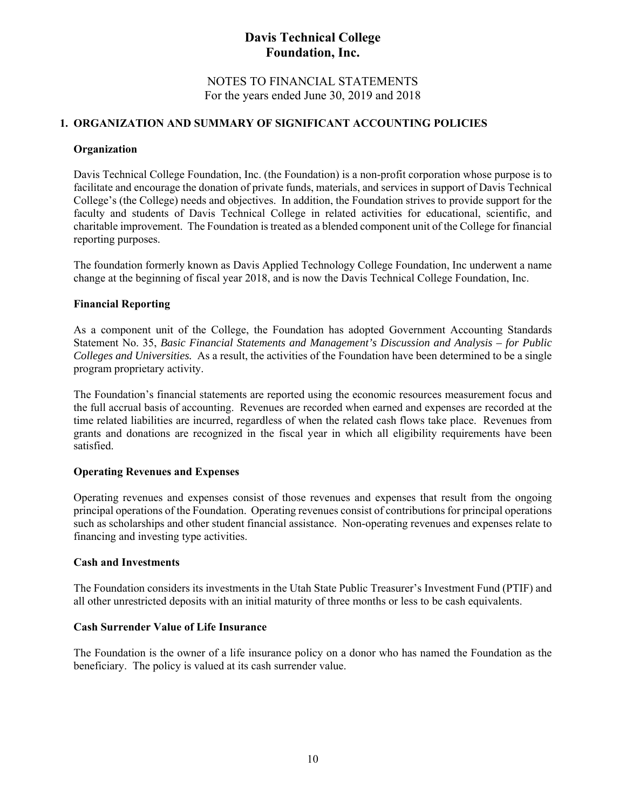NOTES TO FINANCIAL STATEMENTS For the years ended June 30, 2019 and 2018

### **1. ORGANIZATION AND SUMMARY OF SIGNIFICANT ACCOUNTING POLICIES**

### **Organization**

Davis Technical College Foundation, Inc. (the Foundation) is a non-profit corporation whose purpose is to facilitate and encourage the donation of private funds, materials, and services in support of Davis Technical College's (the College) needs and objectives. In addition, the Foundation strives to provide support for the faculty and students of Davis Technical College in related activities for educational, scientific, and charitable improvement. The Foundation is treated as a blended component unit of the College for financial reporting purposes.

The foundation formerly known as Davis Applied Technology College Foundation, Inc underwent a name change at the beginning of fiscal year 2018, and is now the Davis Technical College Foundation, Inc.

### **Financial Reporting**

As a component unit of the College, the Foundation has adopted Government Accounting Standards Statement No. 35, *Basic Financial Statements and Management's Discussion and Analysis – for Public Colleges and Universities.* As a result, the activities of the Foundation have been determined to be a single program proprietary activity.

The Foundation's financial statements are reported using the economic resources measurement focus and the full accrual basis of accounting. Revenues are recorded when earned and expenses are recorded at the time related liabilities are incurred, regardless of when the related cash flows take place. Revenues from grants and donations are recognized in the fiscal year in which all eligibility requirements have been satisfied.

### **Operating Revenues and Expenses**

Operating revenues and expenses consist of those revenues and expenses that result from the ongoing principal operations of the Foundation. Operating revenues consist of contributions for principal operations such as scholarships and other student financial assistance. Non-operating revenues and expenses relate to financing and investing type activities.

### **Cash and Investments**

The Foundation considers its investments in the Utah State Public Treasurer's Investment Fund (PTIF) and all other unrestricted deposits with an initial maturity of three months or less to be cash equivalents.

### **Cash Surrender Value of Life Insurance**

The Foundation is the owner of a life insurance policy on a donor who has named the Foundation as the beneficiary. The policy is valued at its cash surrender value.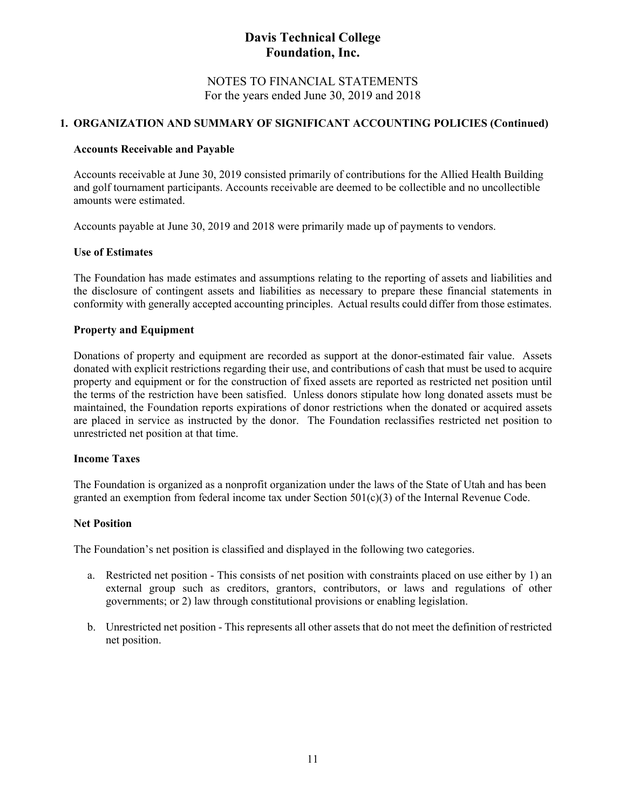NOTES TO FINANCIAL STATEMENTS For the years ended June 30, 2019 and 2018

### **1. ORGANIZATION AND SUMMARY OF SIGNIFICANT ACCOUNTING POLICIES (Continued)**

### **Accounts Receivable and Payable**

Accounts receivable at June 30, 2019 consisted primarily of contributions for the Allied Health Building and golf tournament participants. Accounts receivable are deemed to be collectible and no uncollectible amounts were estimated.

Accounts payable at June 30, 2019 and 2018 were primarily made up of payments to vendors.

### **Use of Estimates**

The Foundation has made estimates and assumptions relating to the reporting of assets and liabilities and the disclosure of contingent assets and liabilities as necessary to prepare these financial statements in conformity with generally accepted accounting principles. Actual results could differ from those estimates.

### **Property and Equipment**

Donations of property and equipment are recorded as support at the donor-estimated fair value. Assets donated with explicit restrictions regarding their use, and contributions of cash that must be used to acquire property and equipment or for the construction of fixed assets are reported as restricted net position until the terms of the restriction have been satisfied. Unless donors stipulate how long donated assets must be maintained, the Foundation reports expirations of donor restrictions when the donated or acquired assets are placed in service as instructed by the donor. The Foundation reclassifies restricted net position to unrestricted net position at that time.

#### **Income Taxes**

The Foundation is organized as a nonprofit organization under the laws of the State of Utah and has been granted an exemption from federal income tax under Section  $501(c)(3)$  of the Internal Revenue Code.

#### **Net Position**

The Foundation's net position is classified and displayed in the following two categories.

- a. Restricted net position This consists of net position with constraints placed on use either by 1) an external group such as creditors, grantors, contributors, or laws and regulations of other governments; or 2) law through constitutional provisions or enabling legislation.
- b. Unrestricted net position This represents all other assets that do not meet the definition of restricted net position.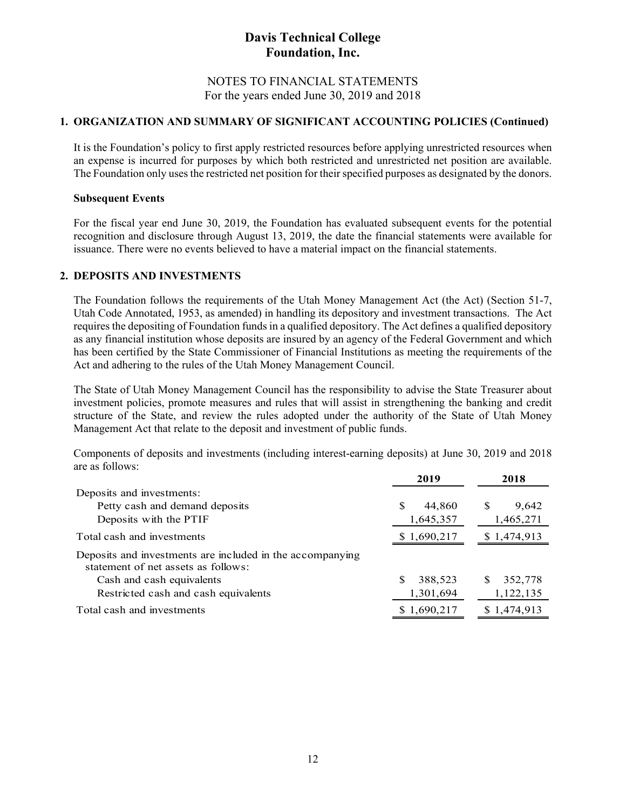### NOTES TO FINANCIAL STATEMENTS For the years ended June 30, 2019 and 2018

### **1. ORGANIZATION AND SUMMARY OF SIGNIFICANT ACCOUNTING POLICIES (Continued)**

It is the Foundation's policy to first apply restricted resources before applying unrestricted resources when an expense is incurred for purposes by which both restricted and unrestricted net position are available. The Foundation only uses the restricted net position for their specified purposes as designated by the donors.

#### **Subsequent Events**

For the fiscal year end June 30, 2019, the Foundation has evaluated subsequent events for the potential recognition and disclosure through August 13, 2019, the date the financial statements were available for issuance. There were no events believed to have a material impact on the financial statements.

### **2. DEPOSITS AND INVESTMENTS**

The Foundation follows the requirements of the Utah Money Management Act (the Act) (Section 51-7, Utah Code Annotated, 1953, as amended) in handling its depository and investment transactions. The Act requires the depositing of Foundation funds in a qualified depository. The Act defines a qualified depository as any financial institution whose deposits are insured by an agency of the Federal Government and which has been certified by the State Commissioner of Financial Institutions as meeting the requirements of the Act and adhering to the rules of the Utah Money Management Council.

The State of Utah Money Management Council has the responsibility to advise the State Treasurer about investment policies, promote measures and rules that will assist in strengthening the banking and credit structure of the State, and review the rules adopted under the authority of the State of Utah Money Management Act that relate to the deposit and investment of public funds.

Components of deposits and investments (including interest-earning deposits) at June 30, 2019 and 2018 are as follows:

|                                                                                                  | 2019         | 2018        |
|--------------------------------------------------------------------------------------------------|--------------|-------------|
| Deposits and investments:                                                                        |              |             |
| Petty cash and demand deposits                                                                   | S<br>44,860  | S<br>9,642  |
| Deposits with the PTIF                                                                           | 1,645,357    | 1,465,271   |
| Total cash and investments                                                                       | \$1,690,217  | \$1,474,913 |
| Deposits and investments are included in the accompanying<br>statement of net assets as follows: |              |             |
| Cash and cash equivalents                                                                        | 388,523<br>S | 352,778     |
| Restricted cash and cash equivalents                                                             | 1,301,694    | 1,122,135   |
| Total cash and investments                                                                       | \$1,690,217  | \$1,474,913 |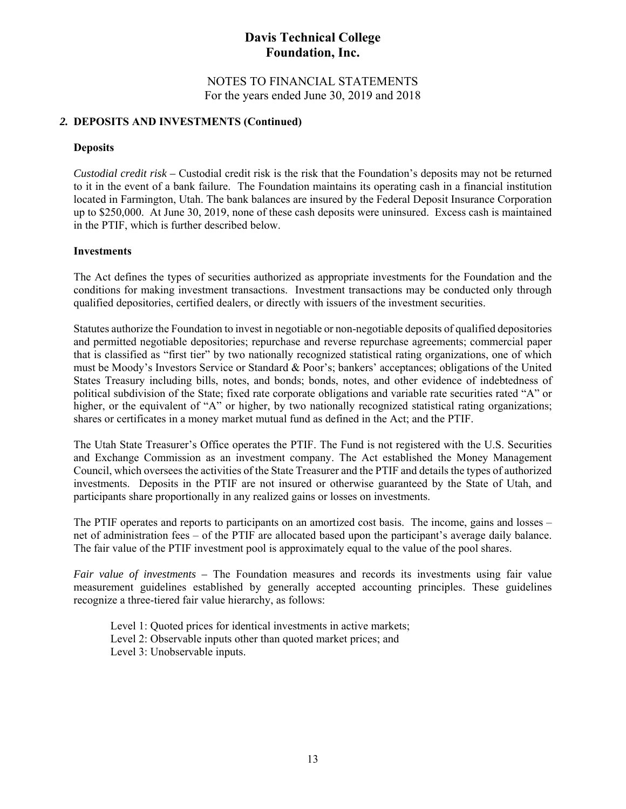### NOTES TO FINANCIAL STATEMENTS For the years ended June 30, 2019 and 2018

### *2.* **DEPOSITS AND INVESTMENTS (Continued)**

### **Deposits**

*Custodial credit risk –* Custodial credit risk is the risk that the Foundation's deposits may not be returned to it in the event of a bank failure. The Foundation maintains its operating cash in a financial institution located in Farmington, Utah. The bank balances are insured by the Federal Deposit Insurance Corporation up to \$250,000. At June 30, 2019, none of these cash deposits were uninsured. Excess cash is maintained in the PTIF, which is further described below.

### **Investments**

The Act defines the types of securities authorized as appropriate investments for the Foundation and the conditions for making investment transactions. Investment transactions may be conducted only through qualified depositories, certified dealers, or directly with issuers of the investment securities.

Statutes authorize the Foundation to invest in negotiable or non-negotiable deposits of qualified depositories and permitted negotiable depositories; repurchase and reverse repurchase agreements; commercial paper that is classified as "first tier" by two nationally recognized statistical rating organizations, one of which must be Moody's Investors Service or Standard & Poor's; bankers' acceptances; obligations of the United States Treasury including bills, notes, and bonds; bonds, notes, and other evidence of indebtedness of political subdivision of the State; fixed rate corporate obligations and variable rate securities rated "A" or higher, or the equivalent of "A" or higher, by two nationally recognized statistical rating organizations; shares or certificates in a money market mutual fund as defined in the Act; and the PTIF.

The Utah State Treasurer's Office operates the PTIF. The Fund is not registered with the U.S. Securities and Exchange Commission as an investment company. The Act established the Money Management Council, which oversees the activities of the State Treasurer and the PTIF and details the types of authorized investments. Deposits in the PTIF are not insured or otherwise guaranteed by the State of Utah, and participants share proportionally in any realized gains or losses on investments.

The PTIF operates and reports to participants on an amortized cost basis. The income, gains and losses – net of administration fees – of the PTIF are allocated based upon the participant's average daily balance. The fair value of the PTIF investment pool is approximately equal to the value of the pool shares.

*Fair value of investments –* The Foundation measures and records its investments using fair value measurement guidelines established by generally accepted accounting principles. These guidelines recognize a three-tiered fair value hierarchy, as follows:

 Level 1: Quoted prices for identical investments in active markets; Level 2: Observable inputs other than quoted market prices; and Level 3: Unobservable inputs.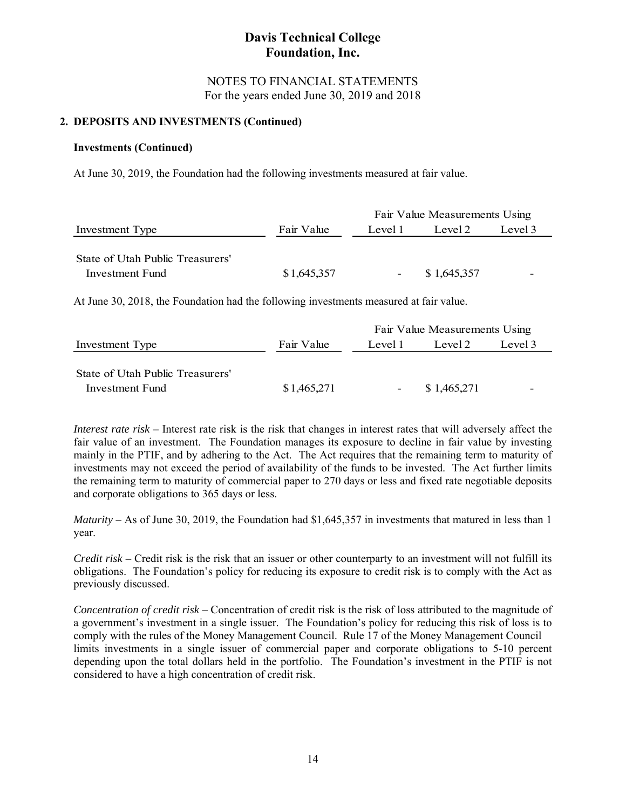NOTES TO FINANCIAL STATEMENTS For the years ended June 30, 2019 and 2018

#### **2. DEPOSITS AND INVESTMENTS (Continued)**

#### **Investments (Continued)**

At June 30, 2019, the Foundation had the following investments measured at fair value.

|                                  |             |         | Fair Value Measurements Using |         |
|----------------------------------|-------------|---------|-------------------------------|---------|
| Investment Type                  | Fair Value  | Level 1 | Level 2                       | Level 3 |
|                                  |             |         |                               |         |
| State of Utah Public Treasurers' |             |         |                               |         |
| Investment Fund                  | \$1,645,357 |         | \$1,645,357                   |         |

At June 30, 2018, the Foundation had the following investments measured at fair value.

|                                  |             |         | Fair Value Measurements Using |                          |
|----------------------------------|-------------|---------|-------------------------------|--------------------------|
| Investment Type                  | Fair Value  | Level 1 | Level 2                       | Level 3                  |
|                                  |             |         |                               |                          |
| State of Utah Public Treasurers' |             |         |                               |                          |
| Investment Fund                  | \$1,465,271 |         | \$1,465,271                   | $\overline{\phantom{a}}$ |

*Interest rate risk –* Interest rate risk is the risk that changes in interest rates that will adversely affect the fair value of an investment. The Foundation manages its exposure to decline in fair value by investing mainly in the PTIF, and by adhering to the Act. The Act requires that the remaining term to maturity of investments may not exceed the period of availability of the funds to be invested. The Act further limits the remaining term to maturity of commercial paper to 270 days or less and fixed rate negotiable deposits and corporate obligations to 365 days or less.

*Maturity –* As of June 30, 2019, the Foundation had \$1,645,357 in investments that matured in less than 1 year.

*Credit risk –* Credit risk is the risk that an issuer or other counterparty to an investment will not fulfill its obligations. The Foundation's policy for reducing its exposure to credit risk is to comply with the Act as previously discussed.

*Concentration of credit risk –* Concentration of credit risk is the risk of loss attributed to the magnitude of a government's investment in a single issuer. The Foundation's policy for reducing this risk of loss is to comply with the rules of the Money Management Council. Rule 17 of the Money Management Council limits investments in a single issuer of commercial paper and corporate obligations to 5-10 percent depending upon the total dollars held in the portfolio. The Foundation's investment in the PTIF is not considered to have a high concentration of credit risk.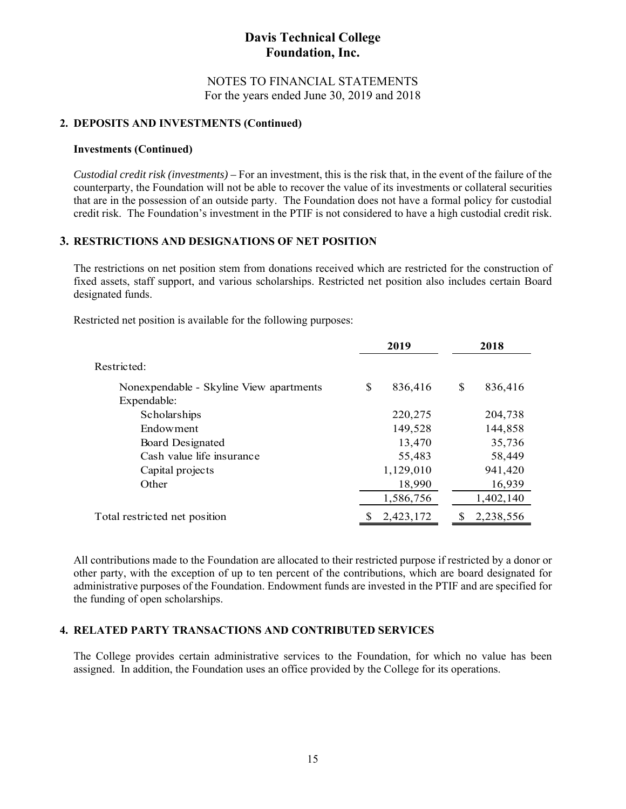### NOTES TO FINANCIAL STATEMENTS For the years ended June 30, 2019 and 2018

### **2. DEPOSITS AND INVESTMENTS (Continued)**

#### **Investments (Continued)**

*Custodial credit risk (investments) –* For an investment, this is the risk that, in the event of the failure of the counterparty, the Foundation will not be able to recover the value of its investments or collateral securities that are in the possession of an outside party. The Foundation does not have a formal policy for custodial credit risk. The Foundation's investment in the PTIF is not considered to have a high custodial credit risk.

### **3. RESTRICTIONS AND DESIGNATIONS OF NET POSITION**

The restrictions on net position stem from donations received which are restricted for the construction of fixed assets, staff support, and various scholarships. Restricted net position also includes certain Board designated funds.

Restricted net position is available for the following purposes:

|                                         | 2019          | 2018          |
|-----------------------------------------|---------------|---------------|
| Restricted:                             |               |               |
| Nonexpendable - Skyline View apartments | \$<br>836,416 | \$<br>836,416 |
| Expendable:                             |               |               |
| Scholarships                            | 220,275       | 204,738       |
| Endowment                               | 149,528       | 144,858       |
| <b>Board Designated</b>                 | 13,470        | 35,736        |
| Cash value life insurance               | 55,483        | 58,449        |
| Capital projects                        | 1,129,010     | 941,420       |
| Other                                   | 18,990        | 16,939        |
|                                         | 1,586,756     | 1,402,140     |
| Total restricted net position           | 2,423,172     | 2,238,556     |
|                                         |               |               |

All contributions made to the Foundation are allocated to their restricted purpose if restricted by a donor or other party, with the exception of up to ten percent of the contributions, which are board designated for administrative purposes of the Foundation. Endowment funds are invested in the PTIF and are specified for the funding of open scholarships.

#### **4. RELATED PARTY TRANSACTIONS AND CONTRIBUTED SERVICES**

The College provides certain administrative services to the Foundation, for which no value has been assigned. In addition, the Foundation uses an office provided by the College for its operations.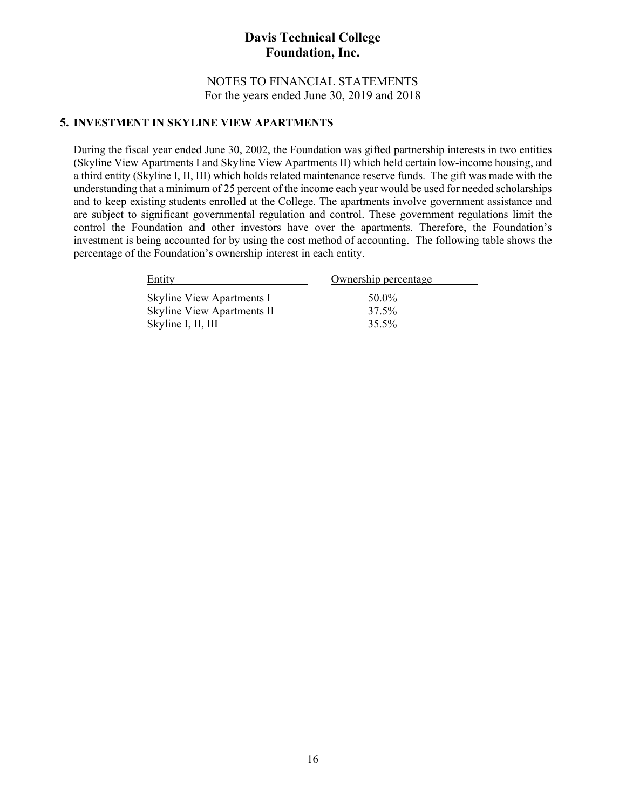### NOTES TO FINANCIAL STATEMENTS For the years ended June 30, 2019 and 2018

### **5. INVESTMENT IN SKYLINE VIEW APARTMENTS**

During the fiscal year ended June 30, 2002, the Foundation was gifted partnership interests in two entities (Skyline View Apartments I and Skyline View Apartments II) which held certain low-income housing, and a third entity (Skyline I, II, III) which holds related maintenance reserve funds. The gift was made with the understanding that a minimum of 25 percent of the income each year would be used for needed scholarships and to keep existing students enrolled at the College. The apartments involve government assistance and are subject to significant governmental regulation and control. These government regulations limit the control the Foundation and other investors have over the apartments. Therefore, the Foundation's investment is being accounted for by using the cost method of accounting. The following table shows the percentage of the Foundation's ownership interest in each entity.

| Entity                     | Ownership percentage |
|----------------------------|----------------------|
| Skyline View Apartments I  | 50.0%                |
| Skyline View Apartments II | 37.5%                |
| Skyline I, II, III         | 35.5%                |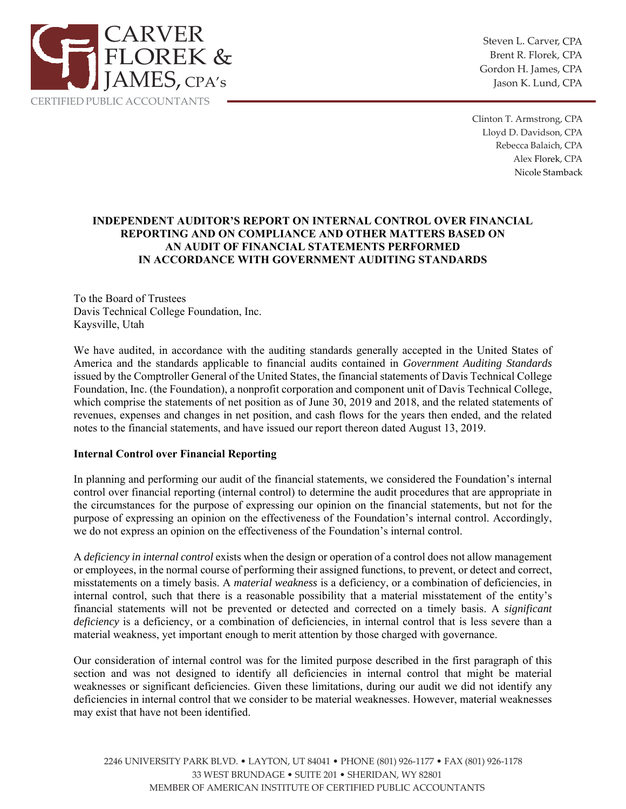

Steven L. Carver, CPA Brent R. Florek, CPA Gordon H. James, CPA

Clinton T. Armstrong, CPA Lloyd D. Davidson, CPA Rebecca Balaich, CPA Alex Florek, CPA Nicole Stamback

### **INDEPENDENT AUDITOR'S REPORT ON INTERNAL CONTROL OVER FINANCIAL REPORTING AND ON COMPLIANCE AND OTHER MATTERS BASED ON AN AUDIT OF FINANCIAL STATEMENTS PERFORMED IN ACCORDANCE WITH GOVERNMENT AUDITING STANDARDS**

To the Board of Trustees Davis Technical College Foundation, Inc. Kaysville, Utah

We have audited, in accordance with the auditing standards generally accepted in the United States of America and the standards applicable to financial audits contained in *Government Auditing Standards* issued by the Comptroller General of the United States, the financial statements of Davis Technical College Foundation, Inc. (the Foundation), a nonprofit corporation and component unit of Davis Technical College, which comprise the statements of net position as of June 30, 2019 and 2018, and the related statements of revenues, expenses and changes in net position, and cash flows for the years then ended, and the related notes to the financial statements, and have issued our report thereon dated August 13, 2019.

### **Internal Control over Financial Reporting**

In planning and performing our audit of the financial statements, we considered the Foundation's internal control over financial reporting (internal control) to determine the audit procedures that are appropriate in the circumstances for the purpose of expressing our opinion on the financial statements, but not for the purpose of expressing an opinion on the effectiveness of the Foundation's internal control. Accordingly, we do not express an opinion on the effectiveness of the Foundation's internal control.

A *deficiency in internal control* exists when the design or operation of a control does not allow management or employees, in the normal course of performing their assigned functions, to prevent, or detect and correct, misstatements on a timely basis. A *material weakness* is a deficiency, or a combination of deficiencies, in internal control, such that there is a reasonable possibility that a material misstatement of the entity's financial statements will not be prevented or detected and corrected on a timely basis. A *significant deficiency* is a deficiency, or a combination of deficiencies, in internal control that is less severe than a material weakness, yet important enough to merit attention by those charged with governance.

Our consideration of internal control was for the limited purpose described in the first paragraph of this section and was not designed to identify all deficiencies in internal control that might be material weaknesses or significant deficiencies. Given these limitations, during our audit we did not identify any deficiencies in internal control that we consider to be material weaknesses. However, material weaknesses may exist that have not been identified.